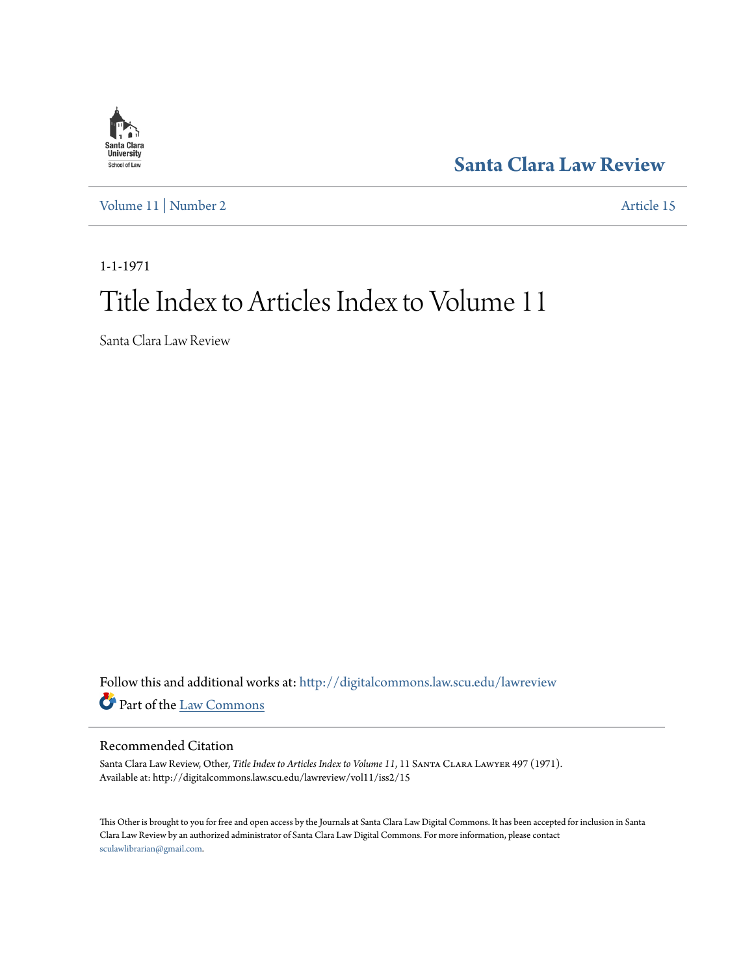

**[Santa Clara Law Review](http://digitalcommons.law.scu.edu/lawreview?utm_source=digitalcommons.law.scu.edu%2Flawreview%2Fvol11%2Fiss2%2F15&utm_medium=PDF&utm_campaign=PDFCoverPages)**

[Volume 11](http://digitalcommons.law.scu.edu/lawreview/vol11?utm_source=digitalcommons.law.scu.edu%2Flawreview%2Fvol11%2Fiss2%2F15&utm_medium=PDF&utm_campaign=PDFCoverPages) | [Number 2](http://digitalcommons.law.scu.edu/lawreview/vol11/iss2?utm_source=digitalcommons.law.scu.edu%2Flawreview%2Fvol11%2Fiss2%2F15&utm_medium=PDF&utm_campaign=PDFCoverPages) [Article 15](http://digitalcommons.law.scu.edu/lawreview/vol11/iss2/15?utm_source=digitalcommons.law.scu.edu%2Flawreview%2Fvol11%2Fiss2%2F15&utm_medium=PDF&utm_campaign=PDFCoverPages)

1-1-1971

# Title Index to Articles Index to Volume 11

Santa Clara Law Review

Follow this and additional works at: [http://digitalcommons.law.scu.edu/lawreview](http://digitalcommons.law.scu.edu/lawreview?utm_source=digitalcommons.law.scu.edu%2Flawreview%2Fvol11%2Fiss2%2F15&utm_medium=PDF&utm_campaign=PDFCoverPages) Part of the [Law Commons](http://network.bepress.com/hgg/discipline/578?utm_source=digitalcommons.law.scu.edu%2Flawreview%2Fvol11%2Fiss2%2F15&utm_medium=PDF&utm_campaign=PDFCoverPages)

### Recommended Citation

Santa Clara Law Review, Other, *Title Index to Articles Index to Volume 11*, 11 Santa Clara Lawyer 497 (1971). Available at: http://digitalcommons.law.scu.edu/lawreview/vol11/iss2/15

This Other is brought to you for free and open access by the Journals at Santa Clara Law Digital Commons. It has been accepted for inclusion in Santa Clara Law Review by an authorized administrator of Santa Clara Law Digital Commons. For more information, please contact [sculawlibrarian@gmail.com](mailto:sculawlibrarian@gmail.com).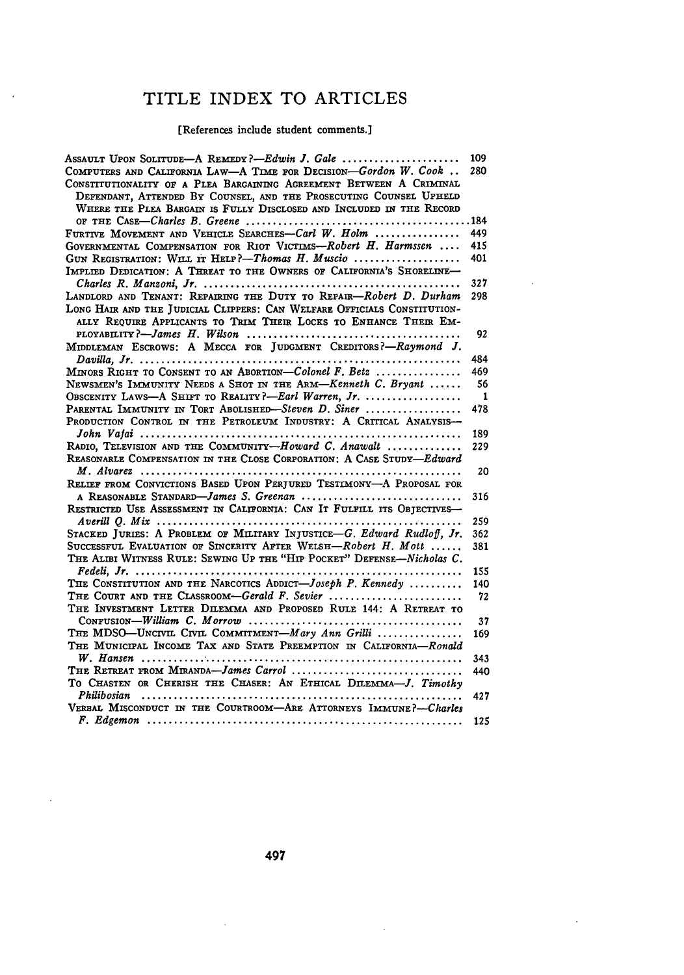## TITLE INDEX TO ARTICLES

 $\sim 10^{-1}$ 

 $\sim 10^{-10}$ 

#### [References include student comments.]

| Assault Upon Solitude—A Remedy?—Edwin J. Gale                                                                                                                                                                                                                                        | 109  |
|--------------------------------------------------------------------------------------------------------------------------------------------------------------------------------------------------------------------------------------------------------------------------------------|------|
| COMPUTERS AND CALIFORNIA LAW-A TIME FOR DECISION-Gordon W. Cook<br>CONSTITUTIONALITY OF A PLEA BARGAINING AGREEMENT BETWEEN A CRIMINAL<br>DEFENDANT, ATTENDED BY COUNSEL, AND THE PROSECUTING COUNSEL UPHELD<br>WHERE THE PLEA BARGAIN IS FULLY DISCLOSED AND INCLUDED IN THE RECORD | 280  |
|                                                                                                                                                                                                                                                                                      | .184 |
| FURTIVE MOVEMENT AND VEHICLE SEARCHES-Carl W. Holm                                                                                                                                                                                                                                   | 449  |
| GOVERNMENTAL COMPENSATION FOR RIOT VICTIMS---Robert H. Harmssen                                                                                                                                                                                                                      | 415  |
| GUN REGISTRATION: WILL IT HELP?-Thomas H. Muscio                                                                                                                                                                                                                                     | 401  |
| IMPLIED DEDICATION: A THREAT TO THE OWNERS OF CALIFORNIA'S SHORELINE-                                                                                                                                                                                                                |      |
|                                                                                                                                                                                                                                                                                      | 327  |
| LANDLORD AND TENANT: REPARING THE DUTY TO REPAIR-Robert D. Durham                                                                                                                                                                                                                    | 298  |
| LONG HAIR AND THE JUDICIAL CLIPPERS: CAN WELFARE OFFICIALS CONSTITUTION-                                                                                                                                                                                                             |      |
| ALLY REQUIRE APPLICANTS TO TRIM THEIR LOCKS TO ENHANCE THEIR EM-                                                                                                                                                                                                                     |      |
|                                                                                                                                                                                                                                                                                      | 92   |
| MIDDLEMAN ESCROWS: A MECCA FOR JUDGMENT CREDITORS?-Raymond J.                                                                                                                                                                                                                        | 484  |
| MINORS RIGHT TO CONSENT TO AN ABORTION—Colonel F. Betz                                                                                                                                                                                                                               | 469  |
| Newsmen's IMMUNITY NEEDS A SHOT IN THE ARM—Kenneth C. Bryant                                                                                                                                                                                                                         | 56   |
| OBSCENITY LAWS-A SHIFT TO REALITY?-Earl Warren, Jr.                                                                                                                                                                                                                                  | 1    |
| PARENTAL IMMUNITY IN TORT ABOLISHED-Steven D. Siner                                                                                                                                                                                                                                  | 478  |
| PRODUCTION CONTROL IN THE PETROLEUM INDUSTRY: A CRITICAL ANALYSIS-                                                                                                                                                                                                                   |      |
|                                                                                                                                                                                                                                                                                      | 189  |
| RADIO, TELEVISION AND THE COMMUNITY-Howard C. Anawalt                                                                                                                                                                                                                                | 229  |
| REASONARLE COMPENSATION IN THE CLOSE CORPORATION: A CASE STUDY-Edward                                                                                                                                                                                                                |      |
|                                                                                                                                                                                                                                                                                      | 20   |
| RELIEF FROM CONVICTIONS BASED UPON PERTURED TESTIMONY-A PROPOSAL FOR                                                                                                                                                                                                                 |      |
| A REASONABLE STANDARD-James S. Greenan                                                                                                                                                                                                                                               | 316  |
| RESTRICTED USE ASSESSMENT IN CALIFORNIA: CAN IT FULFILL ITS OBJECTIVES-                                                                                                                                                                                                              |      |
|                                                                                                                                                                                                                                                                                      | 259  |
| STACKED JURIES: A PROBLEM OF MILITARY INTUSTICE-G. Edward Rudloff. Jr.                                                                                                                                                                                                               | 362  |
| SUCCESSFUL EVALUATION OF SINCERITY AFTER WELSH-Robert H. Mott                                                                                                                                                                                                                        | 381  |
| THE ALIBI WITNESS RULE: SEWING UP THE "HIP POCKET" DEFENSE-Nicholas C.                                                                                                                                                                                                               |      |
|                                                                                                                                                                                                                                                                                      | 155  |
| THE CONSTITUTION AND THE NARCOTICS ADDICT-Joseph P. Kennedy                                                                                                                                                                                                                          | 140  |
| THE COURT AND THE CLASSROOM-Gerald F. Sevier                                                                                                                                                                                                                                         | 72   |
| THE INVESTMENT LETTER DILEMMA AND PROPOSED RULE 144: A RETREAT TO                                                                                                                                                                                                                    | 37   |
| THE MDSO-UNCIVIL CIVIL COMMITMENT- $\text{Mary Ann } Grilli$ ,                                                                                                                                                                                                                       | 169  |
| THE MUNICIPAL INCOME TAX AND STATE PREEMPTION IN CALIFORNIA-Ronald                                                                                                                                                                                                                   |      |
|                                                                                                                                                                                                                                                                                      | 343  |
|                                                                                                                                                                                                                                                                                      | 440  |
| TO CHASTEN OR CHERISH THE CHASER: AN ETHICAL DILEMMA-J. Timothy                                                                                                                                                                                                                      |      |
| Philibosian                                                                                                                                                                                                                                                                          | 427  |
| VERBAL MISCONDUCT IN THE COURTROOM-ARE ATTORNEYS IMMUNE?-Charles                                                                                                                                                                                                                     |      |
|                                                                                                                                                                                                                                                                                      | 125  |

 $\sim 100$  km s  $^{-1}$ 

 $\sim$   $\sim$ 

 $\sim 10^{-1}$ 

 $\sim 10^{-10}$